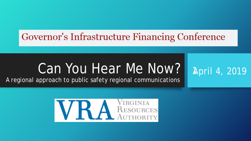# Governor's Infrastructure Financing Conference

# Can You Hear Me Now? I

# 1April 4, 2019

A regional approach to public safety regional communications

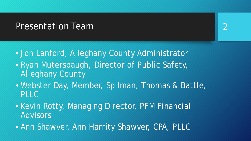#### Presentation Team

- Jon Lanford, Alleghany County Administrator
- Ryan Muterspaugh, Director of Public Safety, Alleghany County
- Webster Day, Member, Spilman, Thomas & Battle, PLLC
- Kevin Rotty, Managing Director, PFM Financial Advisors
- Ann Shawver, Ann Harrity Shawver, CPA, PLLC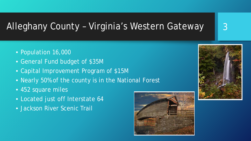### Alleghany County – Virginia's Western Gateway

- Population 16,000
- General Fund budget of \$35M
- Capital Improvement Program of \$15M
- Nearly 50% of the county is in the National Forest
- 452 square miles
- Located just off Interstate 64
- Jackson River Scenic Trail





3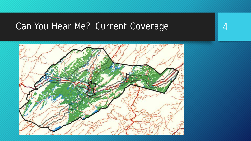#### Can You Hear Me? Current Coverage

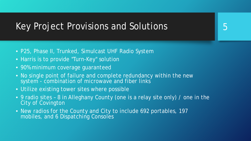#### Key Project Provisions and Solutions

- P25, Phase II, Trunked, Simulcast UHF Radio System
- Harris is to provide "Turn-Key" solution
- 90% minimum coverage guaranteed
- No single point of failure and complete redundancy within the new system - combination of microwave and fiber links
- Utilize existing tower sites where possible
- 9 radio sites 8 in Alleghany County (one is a relay site only) / one in the City of Covington

5

• New radios for the County and City to include 692 portables, 197 mobiles, and 6 Dispatching Consoles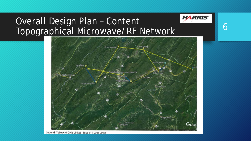#### Overall Design Plan – Content Topographical Microwave/RF Network



6

**HARRIS** 

Legend: Yellow (6-GHz Links) - Blue (11-GHz Links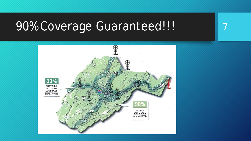# 90% Coverage Guaranteed!!!

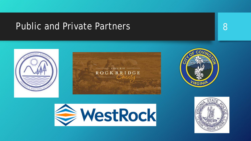#### Public and Private Partners 88





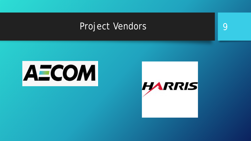#### Project Vendors 9



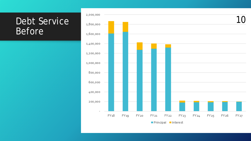#### Debt Service Before

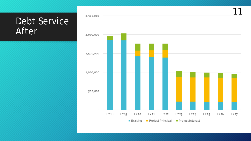#### Debt Service After

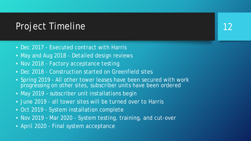#### Project Timeline

- Dec 2017 Executed contract with Harris
- May and Aug 2018 Detailed design reviews
- Nov 2018 Factory acceptance testing
- Dec 2018 Construction started on Greenfield sites
- Spring 2019 All other tower leases have been secured with work progressing on other sites, subscriber units have been ordered

12

- May 2019 subscriber unit installations begin
- June 2019 all tower sites will be turned over to Harris
- Oct 2019 System installation complete
- Nov 2019 Mar 2020 System testing, training, and cut-over
- April 2020 Final system acceptance